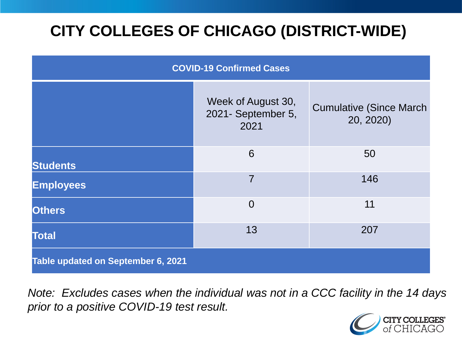# **CITY COLLEGES OF CHICAGO (DISTRICT-WIDE)**

| <b>COVID-19 Confirmed Cases</b>    |                                                  |                                              |
|------------------------------------|--------------------------------------------------|----------------------------------------------|
|                                    | Week of August 30,<br>2021- September 5,<br>2021 | <b>Cumulative (Since March)</b><br>20, 2020) |
| <b>Students</b>                    | 6                                                | 50                                           |
| <b>Employees</b>                   | $\overline{7}$                                   | 146                                          |
| <b>Others</b>                      | $\overline{0}$                                   | 11                                           |
| <b>Total</b>                       | 13                                               | 207                                          |
| Table updated on September 6, 2021 |                                                  |                                              |

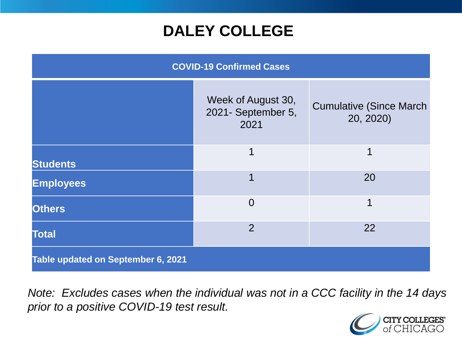## **DALEY COLLEGE**

| <b>COVID-19 Confirmed Cases</b>    |                                                  |                                              |
|------------------------------------|--------------------------------------------------|----------------------------------------------|
|                                    | Week of August 30,<br>2021- September 5,<br>2021 | <b>Cumulative (Since March)</b><br>20, 2020) |
| <b>Students</b>                    | 1                                                | 1                                            |
| <b>Employees</b>                   | 1                                                | 20                                           |
| <b>Others</b>                      | $\overline{0}$                                   | 1                                            |
| <b>Total</b>                       | $\overline{2}$                                   | 22                                           |
| Table updated on September 6, 2021 |                                                  |                                              |

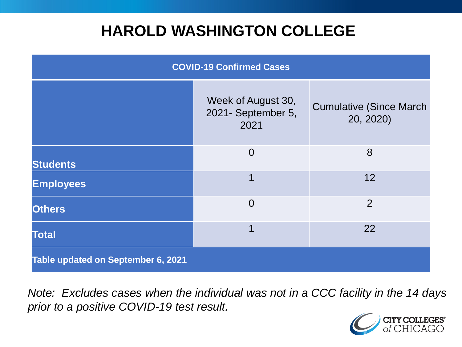## **HAROLD WASHINGTON COLLEGE**

| <b>COVID-19 Confirmed Cases</b>    |                                                  |                                              |
|------------------------------------|--------------------------------------------------|----------------------------------------------|
|                                    | Week of August 30,<br>2021- September 5,<br>2021 | <b>Cumulative (Since March)</b><br>20, 2020) |
| <b>Students</b>                    | $\overline{0}$                                   | 8                                            |
| <b>Employees</b>                   | 1                                                | 12                                           |
| <b>Others</b>                      | $\overline{0}$                                   | $\overline{2}$                               |
| <b>Total</b>                       | 1                                                | 22                                           |
| Table updated on September 6, 2021 |                                                  |                                              |

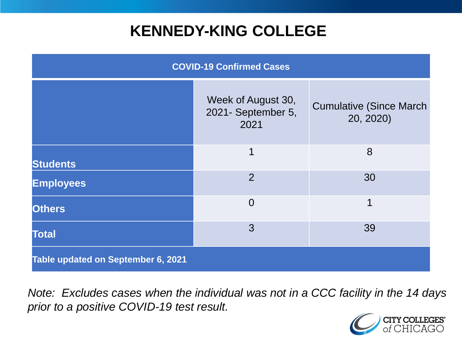## **KENNEDY-KING COLLEGE**

| <b>COVID-19 Confirmed Cases</b>    |                                                  |                                              |
|------------------------------------|--------------------------------------------------|----------------------------------------------|
|                                    | Week of August 30,<br>2021- September 5,<br>2021 | <b>Cumulative (Since March)</b><br>20, 2020) |
| <b>Students</b>                    | 1                                                | 8                                            |
| <b>Employees</b>                   | $\overline{2}$                                   | 30                                           |
| <b>Others</b>                      | $\overline{0}$                                   | 1                                            |
| <b>Total</b>                       | 3                                                | 39                                           |
| Table updated on September 6, 2021 |                                                  |                                              |

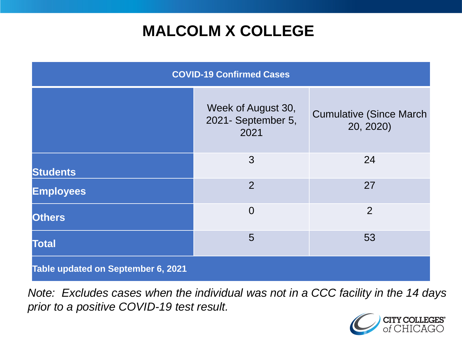# **MALCOLM X COLLEGE**

| <b>COVID-19 Confirmed Cases</b>    |                                                  |                                             |
|------------------------------------|--------------------------------------------------|---------------------------------------------|
|                                    | Week of August 30,<br>2021- September 5,<br>2021 | <b>Cumulative (Since March</b><br>20, 2020) |
| <b>Students</b>                    | 3                                                | 24                                          |
| <b>Employees</b>                   | $\overline{2}$                                   | 27                                          |
| <b>Others</b>                      | $\overline{0}$                                   | $\overline{2}$                              |
| <b>Total</b>                       | 5                                                | 53                                          |
| Table updated on September 6, 2021 |                                                  |                                             |

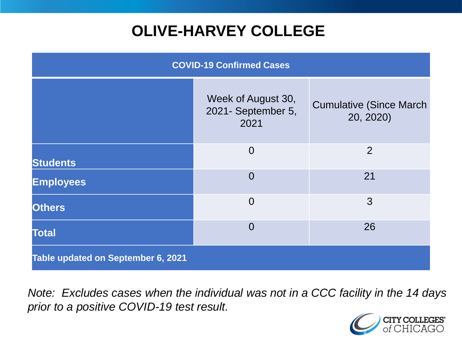# **OLIVE-HARVEY COLLEGE**

| <b>COVID-19 Confirmed Cases</b>    |                                                  |                                              |
|------------------------------------|--------------------------------------------------|----------------------------------------------|
|                                    | Week of August 30,<br>2021- September 5,<br>2021 | <b>Cumulative (Since March)</b><br>20, 2020) |
| <b>Students</b>                    | $\overline{0}$                                   | $\overline{2}$                               |
| <b>Employees</b>                   | $\Omega$                                         | 21                                           |
| <b>Others</b>                      | $\overline{0}$                                   | 3                                            |
| <b>Total</b>                       | $\Omega$                                         | 26                                           |
| Table updated on September 6, 2021 |                                                  |                                              |

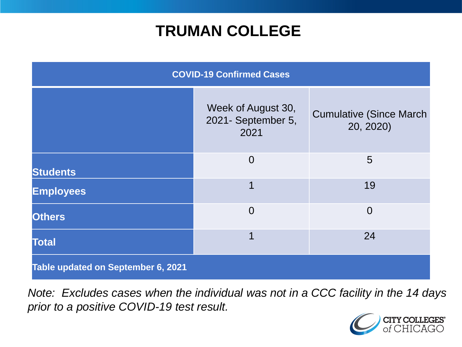## **TRUMAN COLLEGE**

| <b>COVID-19 Confirmed Cases</b>    |                                                  |                                              |
|------------------------------------|--------------------------------------------------|----------------------------------------------|
|                                    | Week of August 30,<br>2021- September 5,<br>2021 | <b>Cumulative (Since March)</b><br>20, 2020) |
| <b>Students</b>                    | $\overline{0}$                                   | 5                                            |
| <b>Employees</b>                   | 1                                                | 19                                           |
| <b>Others</b>                      | $\overline{0}$                                   | $\overline{0}$                               |
| <b>Total</b>                       | 1                                                | 24                                           |
| Table updated on September 6, 2021 |                                                  |                                              |

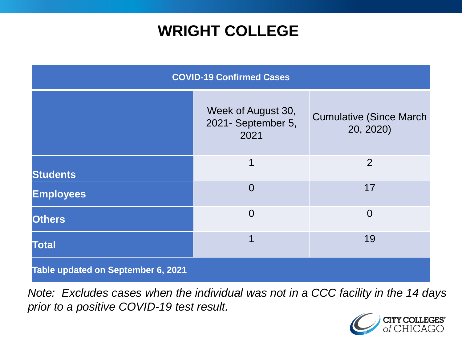## **WRIGHT COLLEGE**

| <b>COVID-19 Confirmed Cases</b>    |                                                  |                                              |
|------------------------------------|--------------------------------------------------|----------------------------------------------|
|                                    | Week of August 30,<br>2021- September 5,<br>2021 | <b>Cumulative (Since March)</b><br>20, 2020) |
| <b>Students</b>                    | 1                                                | $\overline{2}$                               |
| <b>Employees</b>                   | $\overline{0}$                                   | 17                                           |
| <b>Others</b>                      | $\overline{0}$                                   | $\overline{0}$                               |
| <b>Total</b>                       | 1                                                | 19                                           |
| Table updated on September 6, 2021 |                                                  |                                              |